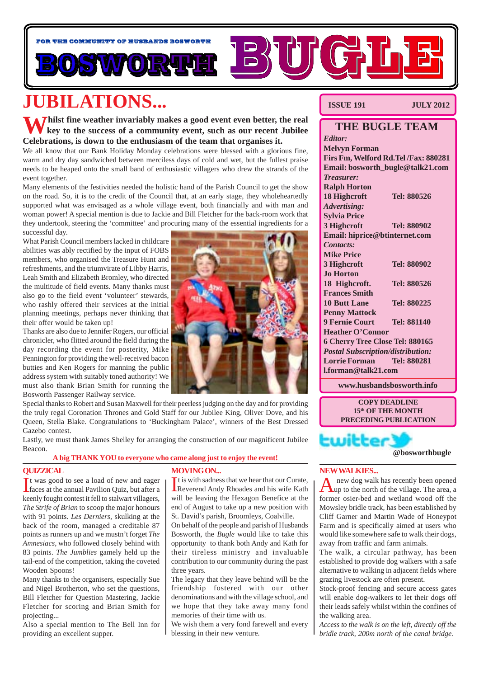

# **JUBILATIONS...**

**Whilst fine weather invariably makes a good event even better, the real key to the success of a community event, such as our recent Jubilee Celebrations, is down to the enthusiasm of the team that organises it.**

We all know that our Bank Holiday Monday celebrations were blessed with a glorious fine, warm and dry day sandwiched between merciless days of cold and wet, but the fullest praise needs to be heaped onto the small band of enthusiastic villagers who drew the strands of the event together.

Many elements of the festivities needed the holistic hand of the Parish Council to get the show on the road. So, it is to the credit of the Council that, at an early stage, they wholeheartedly supported what was envisaged as a whole village event, both financially and with man and woman power! A special mention is due to Jackie and Bill Fletcher for the back-room work that they undertook, steering the 'committee' and procuring many of the essential ingredients for a successful day.

What Parish Council members lacked in childcare abilities was ably rectified by the input of FOBS members, who organised the Treasure Hunt and refreshments, and the triumvirate of Libby Harris, Leah Smith and Elizabeth Bromley, who directed the multitude of field events. Many thanks must also go to the field event 'volunteer' stewards, who rashly offered their services at the initial planning meetings, perhaps never thinking that their offer would be taken up!

Thanks are also due to Jennifer Rogers, our official chronicler, who flitted around the field during the day recording the event for posterity, Mike Pennington for providing the well-received bacon butties and Ken Rogers for manning the public address system with suitably toned authority! We must also thank Brian Smith for running the Bosworth Passenger Railway service.

Special thanks to Robert and Susan Maxwell for their peerless judging on the day and for providing the truly regal Coronation Thrones and Gold Staff for our Jubilee King, Oliver Dove, and his Queen, Stella Blake. Congratulations to 'Buckingham Palace', winners of the Best Dressed Gazebo contest.

Lastly, we must thank James Shelley for arranging the construction of our magnificent Jubilee Beacon.

**A big THANK YOU to everyone who came along just to enjoy the event!**

### **QUIZZICAL**

It was good to see a load of new and eager<br>Ifaces at the annual Pavilion Quiz, but after a If was good to see a load of new and eager keenly fought contest it fell to stalwart villagers, *The Strife of Brian* to scoop the major honours with 91 points. *Les Derniers*, skulking at the back of the room, managed a creditable 87 points as runners up and we mustn't forget *The Amnesiacs,* who followed closely behind with 83 points. *The Jumblies* gamely held up the tail-end of the competition, taking the coveted Wooden Spoons!

Many thanks to the organisers, especially Sue and Nigel Brotherton, who set the questions, Bill Fletcher for Question Mastering, Jackie Fletcher for scoring and Brian Smith for projecting...

Also a special mention to The Bell Inn for providing an excellent supper.

### **MOVING ON...**

It is with sadness that we hear that our Curate,<br>Reverend Andy Rhoades and his wife Kath t is with sadness that we hear that our Curate, will be leaving the Hexagon Benefice at the end of August to take up a new position with St. David's parish, Broomleys, Coalville.

On behalf of the people and parish of Husbands Bosworth, the *Bugle* would like to take this opportunity to thank both Andy and Kath for their tireless ministry and invaluable contribution to our community during the past three years.

The legacy that they leave behind will be the friendship fostered with our other denominations and with the village school, and we hope that they take away many fond memories of their time with us.

We wish them a very fond farewell and every blessing in their new venture.

### **ISSUE 191 JULY 2012**

### **THE BUGLE TEAM** *Editor:* **Melvyn Forman Firs Fm, Welford Rd.Tel /Fax: 880281 Email: bosworth\_bugle@talk21.com** *Treasurer:* **Ralph Horton 18 Highcroft Tel: 880526** *Advertising:* **Sylvia Price 3 Highcroft Tel: 880902 Email: hiprice@btinternet.com** *Contacts:* **Mike Price 3 Highcroft Tel: 880902 Jo Horton 18 Highcroft. Tel: 880526 Frances Smith 10 Butt Lane Tel: 880225 Penny Mattock 9 Fernie Court Tel: 881140 Heather O'Connor 6 Cherry Tree Close Tel: 880165** *Postal Subscription/distribution:* **Lorrie Forman Tel: 880281 l.forman@talk21.com**

**www.husbandsbosworth.info**

**COPY DEADLINE 15th OF THE MONTH PRECEDING PUBLICATION**

**@bosworthbugle**

### **NEW WALKIES...**

**Ewitte** 

new dog walk has recently been opened **Lup** to the north of the village. The area, a former osier-bed and wetland wood off the Mowsley bridle track, has been established by Cliff Garner and Martin Wade of Honeypot Farm and is specifically aimed at users who would like somewhere safe to walk their dogs, away from traffic and farm animals.

The walk, a circular pathway, has been established to provide dog walkers with a safe alternative to walking in adjacent fields where grazing livestock are often present.

Stock-proof fencing and secure access gates will enable dog-walkers to let their dogs off their leads safely whilst within the confines of the walking area.

*Access to the walk is on the left, directly off the bridle track, 200m north of the canal bridge.*

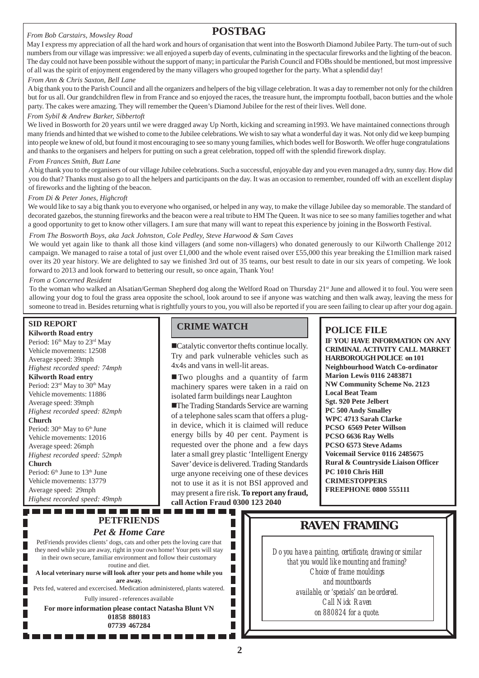### *From Bob Carstairs, Mowsley Road*

# **POSTBAG**

May I express my appreciation of all the hard work and hours of organisation that went into the Bosworth Diamond Jubilee Party. The turn-out of such numbers from our village was impressive: we all enjoyed a superb day of events, culminating in the spectacular fireworks and the lighting of the beacon. The day could not have been possible without the support of many; in particular the Parish Council and FOBs should be mentioned, but most impressive of all was the spirit of enjoyment engendered by the many villagers who grouped together for the party. What a splendid day!

### *From Ann & Chris Saxton, Bell Lane*

A big thank you to the Parish Council and all the organizers and helpers of the big village celebration. It was a day to remember not only for the children but for us all. Our grandchildren flew in from France and so enjoyed the races, the treasure hunt, the impromptu football, bacon butties and the whole party. The cakes were amazing. They will remember the Queen's Diamond Jubilee for the rest of their lives. Well done.

### *From Sybil & Andrew Barker, Sibbertoft*

We lived in Bosworth for 20 years until we were dragged away Up North, kicking and screaming in1993. We have maintained connections through many friends and hinted that we wished to come to the Jubilee celebrations. We wish to say what a wonderful day it was. Not only did we keep bumping into people we knew of old, but found it most encouraging to see so many young families, which bodes well for Bosworth. We offer huge congratulations and thanks to the organisers and helpers for putting on such a great celebration, topped off with the splendid firework display.

### *From Frances Smith, Butt Lane*

A big thank you to the organisers of our village Jubilee celebrations. Such a successful, enjoyable day and you even managed a dry, sunny day. How did you do that? Thanks must also go to all the helpers and participants on the day. It was an occasion to remember, rounded off with an excellent display of fireworks and the lighting of the beacon.

### *From Di & Peter Jones, Highcroft*

We would like to say a big thank you to everyone who organised, or helped in any way, to make the village Jubilee day so memorable. The standard of decorated gazebos, the stunning fireworks and the beacon were a real tribute to HM The Queen. It was nice to see so many families together and what a good opportunity to get to know other villagers. I am sure that many will want to repeat this experience by joining in the Bosworth Festival.

### *From The Bosworth Boys, aka Jack Johnston, Cole Pedley, Steve Harwood & Sam Caves*

We would yet again like to thank all those kind villagers (and some non-villagers) who donated generously to our Kilworth Challenge 2012 campaign. We managed to raise a total of just over £1,000 and the whole event raised over £55,000 this year breaking the £1million mark raised over its 20 year history. We are delighted to say we finished 3rd out of 35 teams, our best result to date in our six years of competing. We look forward to 2013 and look forward to bettering our result, so once again, Thank You!

### *From a Concerned Resident*

To the woman who walked an Alsatian/German Shepherd dog along the Welford Road on Thursday 21<sup>st</sup> June and allowed it to foul. You were seen allowing your dog to foul the grass area opposite the school, look around to see if anyone was watching and then walk away, leaving the mess for someone to tread in. Besides returning what is rightfully yours to you, you will also be reported if you are seen failing to clear up after your dog again.

### **SID REPORT**

**Kilworth Road entry** Period: 16<sup>th</sup> May to 23<sup>rd</sup> May Vehicle movements: 12508 Average speed: 39mph *Highest recorded speed: 74mph* **Kilworth Road entry** Period:  $23<sup>rd</sup>$  May to  $30<sup>th</sup>$  May Vehicle movements: 11886 Average speed: 39mph *Highest recorded speed: 82mph* **Church** Period:  $30<sup>th</sup>$  May to  $6<sup>th</sup>$  June Vehicle movements: 12016 Average speed: 26mph *Highest recorded speed: 52mph* **Church** Period: 6<sup>th</sup> June to 13<sup>th</sup> June Vehicle movements: 13779 Average speed: 29mph *Highest recorded speed: 49mph*

**PETFRIENDS** *Pet & Home Care* PetFriends provides clients' dogs, cats and other pets the loving care that they need while you are away, right in your own home! Your pets will stay in their own secure, familiar environment and follow their customary routine and diet. **A local veterinary nurse will look after your pets and home while you are away.** Pets fed, watered and excercised. Medication administered, plants watered. Fully insured - references available **For more information please contact Natasha Blunt VN 01858 880183 07739 467284**

. . . . . . . . . . .

# **CRIME WATCH POLICE FILE**

!Catalytic convertor thefts continue locally. Try and park vulnerable vehicles such as 4x4s and vans in well-lit areas.

!Two ploughs and a quantity of farm machinery spares were taken in a raid on isolated farm buildings near Laughton

**The Trading Standards Service are warning** of a telephone sales scam that offers a plugin device, which it is claimed will reduce energy bills by 40 per cent. Payment is requested over the phone and a few days later a small grey plastic 'Intelligent Energy Saver' device is delivered. Trading Standards urge anyone receiving one of these devices not to use it as it is not BSI approved and may present a fire risk. **To report any fraud, call Action Fraud 0300 123 2040**

-----------------

> ▉ П П

> П

**IF YOU HAVE INFORMATION ON ANY CRIMINAL ACTIVITY CALL MARKET HARBOROUGH POLICE on 101 Neighbourhood Watch Co-ordinator Marion Lewis 0116 2483871 NW Community Scheme No. 2123 Local Beat Team Sgt. 920 Pete Jelbert PC 500 Andy Smalley WPC 4713 Sarah Clarke PCSO 6569 Peter Willson PCSO 6636 Ray Wells PCSO 6573 Steve Adams Voicemail Service 0116 2485675 Rural & Countryside Liaison Officer PC 1010 Chris Hill CRIMESTOPPERS FREEPHONE 0800 555111**

# **RAVEN FRAMING**

*Do you have a painting, certificate, drawing or similar that you would like mounting and framing? Choice of frame mouldings and mountboards available, or 'specials' can be ordered. Call Nick Raven on 880824 for a quote.*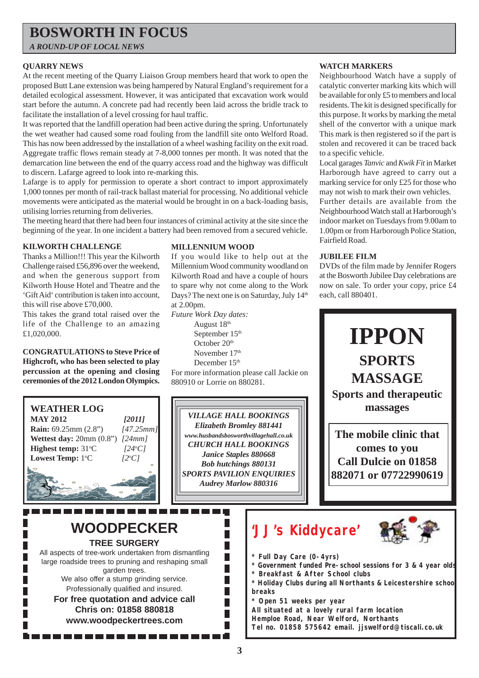# **BOSWORTH IN FOCUS**

*A ROUND-UP OF LOCAL NEWS*

### **QUARRY NEWS**

At the recent meeting of the Quarry Liaison Group members heard that work to open the proposed Butt Lane extension was being hampered by Natural England's requirement for a detailed ecological assessment. However, it was anticipated that excavation work would start before the autumn. A concrete pad had recently been laid across the bridle track to facilitate the installation of a level crossing for haul traffic.

It was reported that the landfill operation had been active during the spring. Unfortunately the wet weather had caused some road fouling from the landfill site onto Welford Road. This has now been addressed by the installation of a wheel washing facility on the exit road. Aggregate traffic flows remain steady at 7-8,000 tonnes per month. It was noted that the demarcation line between the end of the quarry access road and the highway was difficult to discern. Lafarge agreed to look into re-marking this.

Lafarge is to apply for permission to operate a short contract to import approximately 1,000 tonnes per month of rail-track ballast material for processing. No additional vehicle movements were anticipated as the material would be brought in on a back-loading basis, utilising lorries returning from deliveries.

The meeting heard that there had been four instances of criminal activity at the site since the beginning of the year. In one incident a battery had been removed from a secured vehicle.

### **KILWORTH CHALLENGE**

Thanks a Million!!! This year the Kilworth Challenge raised £56,896 over the weekend, and when the generous support from Kilworth House Hotel and Theatre and the 'Gift Aid' contribution is taken into account, this will rise above £70,000.

This takes the grand total raised over the life of the Challenge to an amazing £1,020,000.

**CONGRATULATIONS to Steve Price of Highcroft, who has been selected to play percussion at the opening and closing ceremonies of the 2012 London Olympics.**

**MAY 2012** *[2011]* **Rain:** 69.25mm (2.8") *[47.25mm]* **Wettest day:** 20mm (0.8") *[24mm]*

**WEATHER LOG**

**Highest temp:** 31°C

Lowest Temp: 1°C

### **MILLENNIUM WOOD**

If you would like to help out at the Millennium Wood community woodland on Kilworth Road and have a couple of hours to spare why not come along to the Work Days? The next one is on Saturday, July 14<sup>th</sup> at 2.00pm.

*Future Work Day dates:*

August 18<sup>th</sup> September 15<sup>th</sup> October 20<sup>th</sup> November 17<sup>th</sup> December 15<sup>th</sup>

For more information please call Jackie on 880910 or Lorrie on 880281.

*VILLAGE HALL BOOKINGS Elizabeth Bromley 881441 www.husbandsbosworthvillagehall.co.uk CHURCH HALL BOOKINGS Janice Staples 880668 Bob hutchings 880131 SPORTS PAVILION ENQUIRIES Audrey Marlow 880316*

### **WATCH MARKERS**

Neighbourhood Watch have a supply of catalytic converter marking kits which will be available for only £5 to members and local residents. The kit is designed specifically for this purpose. It works by marking the metal shell of the convertor with a unique mark This mark is then registered so if the part is stolen and recovered it can be traced back to a specific vehicle.

Local garages *Tanvic* and *Kwik Fit* in Market Harborough have agreed to carry out a marking service for only £25 for those who may not wish to mark their own vehicles.

Further details are available from the Neighbourhood Watch stall at Harborough's indoor market on Tuesdays from 9.00am to 1.00pm or from Harborough Police Station, Fairfield Road.

### **JUBILEE FILM**

DVDs of the film made by Jennifer Rogers at the Bosworth Jubilee Day celebrations are now on sale. To order your copy, price £4 each, call 880401.



**WOODPECKER TREE SURGERY**

C *[24o C]*

C *[2o C]*

All aspects of tree-work undertaken from dismantling large roadside trees to pruning and reshaping small garden trees. We also offer a stump grinding service.

Professionally qualified and insured.

**For free quotation and advice call Chris on: 01858 880818 www.woodpeckertrees.com**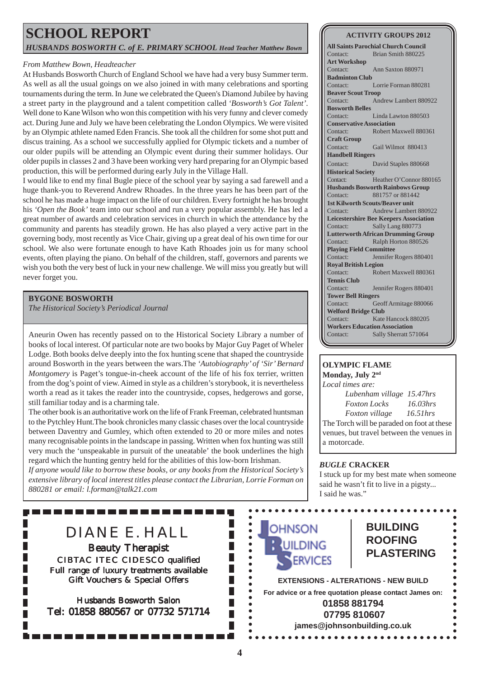# **SCHOOL REPORT** *HUSBANDS BOSWORTH C. of E. PRIMARY SCHOOL Head Teacher Matthew Bown*

### *From Matthew Bown, Headteacher*

At Husbands Bosworth Church of England School we have had a very busy Summer term. As well as all the usual goings on we also joined in with many celebrations and sporting tournaments during the term. In June we celebrated the Queen's Diamond Jubilee by having a street party in the playground and a talent competition called *'Bosworth's Got Talent'*. Well done to Kane Wilson who won this competition with his very funny and clever comedy act. During June and July we have been celebrating the London Olympics. We were visited by an Olympic athlete named Eden Francis. She took all the children for some shot putt and discus training. As a school we successfully applied for Olympic tickets and a number of our older pupils will be attending an Olympic event during their summer holidays. Our older pupils in classes 2 and 3 have been working very hard preparing for an Olympic based production, this will be performed during early July in the Village Hall.

I would like to end my final Bugle piece of the school year by saying a sad farewell and a huge thank-you to Reverend Andrew Rhoades. In the three years he has been part of the school he has made a huge impact on the life of our children. Every fortnight he has brought his *'Open the Book'* team into our school and run a very popular assembly. He has led a great number of awards and celebration services in church in which the attendance by the community and parents has steadily grown. He has also played a very active part in the governing body, most recently as Vice Chair, giving up a great deal of his own time for our school. We also were fortunate enough to have Kath Rhoades join us for many school events, often playing the piano. On behalf of the children, staff, governors and parents we wish you both the very best of luck in your new challenge. We will miss you greatly but will never forget you.

### **BYGONE BOSWORTH**

*The Historical Society's Periodical Journal*

Aneurin Owen has recently passed on to the Historical Society Library a number of books of local interest. Of particular note are two books by Major Guy Paget of Wheler Lodge. Both books delve deeply into the fox hunting scene that shaped the countryside around Bosworth in the years between the wars.The *'Autobiography' of 'Sir' Bernard Montgomery* is Paget's tongue-in-cheek account of the life of his fox terrier, written from the dog's point of view. Aimed in style as a children's storybook, it is nevertheless worth a read as it takes the reader into the countryside, copses, hedgerows and gorse, still familiar today and is a charming tale.

The other book is an authoritative work on the life of Frank Freeman, celebrated huntsman to the Pytchley Hunt.The book chronicles many classic chases over the local countryside between Daventry and Gumley, which often extended to 20 or more miles and notes many recognisable points in the landscape in passing. Written when fox hunting was still very much the 'unspeakable in pursuit of the uneatable' the book underlines the high regard which the hunting gentry held for the abilities of this low-born Irishman.

*If anyone would like to borrow these books, or any books from the Historical Society's extensive library of local interest titles please contact the Librarian, Lorrie Forman on 880281 or email: l.forman@talk21.com*

### **ACTIVITY GROUPS 2012**

**All Saints Parochial Church Council** Contact: Brian Smith 880225 **Art Workshop** Contact: Ann Saxton 880971 **Badminton Club** Contact: Lorrie Forman 880281 **Beaver Scout Troop** Contact: Andrew Lambert 880922 **Bosworth Belles** Contact: Linda Lawton 880503 **Conservative Association** Contact: Robert Maxwell 880361 **Craft Group** Contact: Gail Wilmot 880413 **Handbell Ringers** Contact: David Staples 880668 **Historical Society** Contact: Heather O'Connor 880165 **Husbands Bosworth Rainbows Group** Contact: 881757 or 881442 **1st Kilworth Scouts/Beaver unit** Contact: Andrew Lambert 880922 **Leicestershire Bee Keepers Association** Contact: Sally Lang 880773 **Lutterworth African Drumming Group** Contact: Ralph Horton 880526 **Playing Field Committee** Contact: Jennifer Rogers 880401 **Royal British Legion** Contact: Robert Maxwell 880361 **Tennis Club** Contact: Jennifer Rogers 880401 **Tower Bell Ringers** Contact: Geoff Armitage 880066 **Welford Bridge Club** Contact: Kate Hancock 880205 **Workers Education Association** Contact: Sally Sherratt 571064

### **OLYMPIC FLAME Monday, July 2nd**

*Local times are: Lubenham village 15.47hrs Foxton Locks 16.03hrs Foxton village 16.51hrs* The Torch will be paraded on foot at these venues, but travel between the venues in a motorcade.

### *BUGLE* **CRACKER**

I stuck up for my best mate when someone said he wasn't fit to live in a pigsty... I said he was."

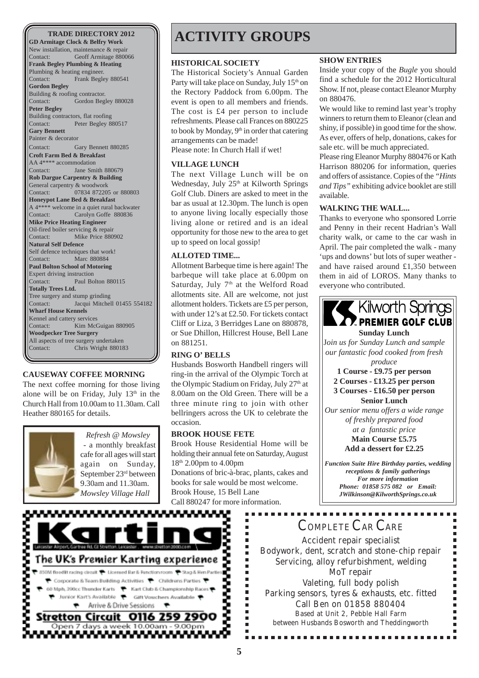**GD Armitage Clock & Belfry Work** New installation, maintenance & repair Contact: Geoff Armitage 880066 **Frank Begley Plumbing & Heating** Plumbing & heating engineer. Contact: Frank Begley 880541 **Gordon Begley** Building & roofing contractor. Contact: Gordon Begley 880028 **Peter Begley** Building contractors, flat roofing Contact: Peter Begley 880517 **Gary Bennett** Painter & decorator Contact: Gary Bennett 880285 **Croft Farm Bed & Breakfast** AA 4\*\*\*\* accommodation Contact: Jane Smith 880679 **Rob Dargue Carpentry & Building** General carpentry & woodwork Contact: 07834 872205 or 880803 **Honeypot Lane Bed & Breakfast** A 4\*\*\*\* welcome in a quiet rural backwater Contact: Carolyn Goffe 880836 **Mike Price Heating Engineer** Oil-fired boiler servicing & repair Contact: Mike Price 880902 **Natural Self Defence** Self defence techniques that work! Contact: Marc 880884 **Paul Bolton School of Motoring** Expert driving instruction Contact: Paul Bolton 880115 **Totally Trees Ltd.** Tree surgery and stump grinding Contact: Jacqui Mitchell 01455 554182 **Wharf House Kennels** Kennel and cattery services Contact: Kim McGuigan 880905 **Woodpecker Tree Surgery** All aspects of tree surgery undertaken Contact: Chris Wright 880183

### **CAUSEWAY COFFEE MORNING**

The next coffee morning for those living alone will be on Friday, July  $13<sup>th</sup>$  in the Church Hall from 10.00am to 11.30am. Call Heather 880165 for details.



*Refresh @ Mowsley* - a monthly breakfast cafe for all ages will start again on Sunday, September 23rd between 9.30am and 11.30am. *Mowsley Village Hall*

# **TRADE DIRECTORY 2012 | | | ACTIVITY GROUPS**

### **HISTORICAL SOCIETY**

The Historical Society's Annual Garden Party will take place on Sunday, July 15<sup>th</sup> on the Rectory Paddock from 6.00pm. The event is open to all members and friends. The cost is £4 per person to include refreshments. Please call Frances on 880225 to book by Monday,  $9<sup>th</sup>$  in order that catering arrangements can be made!

Please note: In Church Hall if wet!

### **VILLAGE LUNCH**

The next Village Lunch will be on Wednesday, July 25<sup>th</sup> at Kilworth Springs Golf Club. Diners are asked to meet in the bar as usual at 12.30pm. The lunch is open to anyone living locally especially those living alone or retired and is an ideal opportunity for those new to the area to get up to speed on local gossip!

### **ALLOTED TIME...**

Allotment Barbeque time is here again! The barbeque will take place at 6.00pm on Saturday, July  $7<sup>th</sup>$  at the Welford Road allotments site. All are welcome, not just allotment holders. Tickets are £5 per person, with under 12's at £2.50. For tickets contact Cliff or Liza, 3 Berridges Lane on 880878, or Sue Dhillon, Hillcrest House, Bell Lane on 881251.

### **RING O' BELLS**

Husbands Bosworth Handbell ringers will ring-in the arrival of the Olympic Torch at the Olympic Stadium on Friday, July 27<sup>th</sup> at 8.00am on the Old Green. There will be a three minute ring to join with other bellringers across the UK to celebrate the occasion.

### **BROOK HOUSE FETE**

Brook House Residential Home will be holding their annual fete on Saturday, August  $18<sup>th</sup>$  2.00pm to 4.00pm Donations of bric-à-brac, plants, cakes and books for sale would be most welcome. Brook House, 15 Bell Lane Call 880247 for more information.

> **BRITIS**  $\blacksquare$ Ė Ű. Ē

Ľ Ė ē

 $\blacksquare$ 

Ē

Ē.

É Ė

### **SHOW ENTRIES**

Inside your copy of the *Bugle* you should find a schedule for the 2012 Horticultural Show. If not, please contact Eleanor Murphy on 880476.

We would like to remind last year's trophy winners to return them to Eleanor (clean and shiny, if possible) in good time for the show. As ever, offers of help, donations, cakes for sale etc. will be much appreciated.

Please ring Eleanor Murphy 880476 or Kath Harrison 880206 for information, queries and offers of assistance. Copies of the *"Hints and Tips"* exhibiting advice booklet are still available.

### **WALKING THE WALL...**

Thanks to everyone who sponsored Lorrie and Penny in their recent Hadrian's Wall charity walk, or came to the car wash in April. The pair completed the walk - many 'ups and downs' but lots of super weather and have raised around £1,350 between them in aid of LOROS. Many thanks to everyone who contributed.





# COMPLETE CAR CARE

Accident repair specialist Bodywork, dent, scratch and stone-chip repair Servicing, alloy refurbishment, welding MoT repair Valeting, full body polish Parking sensors, tyres & exhausts, etc. fitted Call Ben on 01858 880404 Based at Unit 2, Pebble Hall Farm between Husbands Bosworth and Theddingworth

............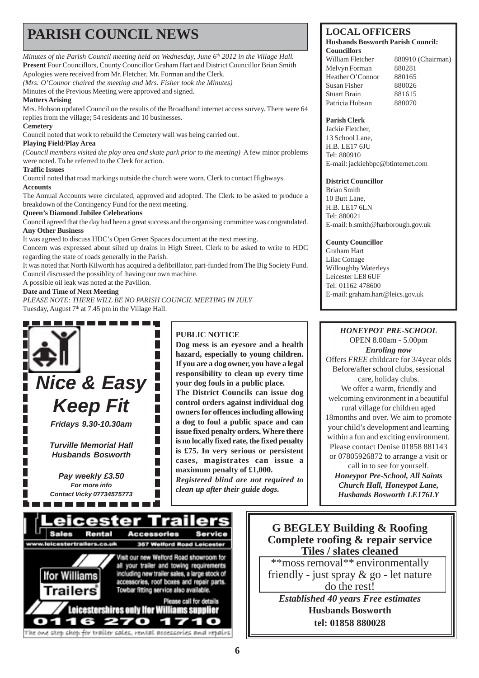# **PARISH COUNCIL NEWS** LOCAL OFFICERS

*Minutes of the Parish Council meeting held on Wednesday, June 6<sup>th</sup> 2012 in the Village Hall.* **Present** Four Councillors, County Councillor Graham Hart and District Councillor Brian Smith Apologies were received from Mr. Fletcher, Mr. Forman and the Clerk.

*(Mrs. O'Connor chaired the meeting and Mrs. Fisher took the Minutes)*

Minutes of the Previous Meeting were approved and signed.

### **Matters Arising**

Mrs. Hobson updated Council on the results of the Broadband internet access survey. There were 64 replies from the village; 54 residents and 10 businesses.

### **Cemetery**

Council noted that work to rebuild the Cemetery wall was being carried out.

### **Playing Field/Play Area**

*(Council members visited the play area and skate park prior to the meeting)* A few minor problems were noted. To be referred to the Clerk for action.

### **Traffic Issues**

Council noted that road markings outside the church were worn. Clerk to contact Highways. **Accounts**

The Annual Accounts were circulated, approved and adopted. The Clerk to be asked to produce a breakdown of the Contingency Fund for the next meeting.

### **Queen's Diamond Jubilee Celebrations**

Council agreed that the day had been a great success and the organising committee was congratulated. **Any Other Business**

It was agreed to discuss HDC's Open Green Spaces document at the next meeting.

Concern was expressed about silted up drains in High Street. Clerk to be asked to write to HDC regarding the state of roads generally in the Parish.

It was noted that North Kilworth has acquired a defibrillator, part-funded from The Big Society Fund. Council discussed the possiblity of having our own machine.

A possible oil leak was noted at the Pavilion.

### **Date and Time of Next Meeting**

*PLEASE NOTE: THERE WILL BE NO PARISH COUNCIL MEETING IN JULY* Tuesday, August  $7<sup>th</sup>$  at 7.45 pm in the Village Hall.



### **PUBLIC NOTICE**

**Dog mess is an eyesore and a health hazard, especially to young children. If you are a dog owner, you have a legal responsibility to clean up every time your dog fouls in a public place.**

**The District Councils can issue dog control orders against individual dog owners for offences including allowing a dog to foul a public space and can issue fixed penalty orders. Where there is no locally fixed rate, the fixed penalty is £75. In very serious or persistent cases, magistrates can issue a maximum penalty of £1,000.** *Registered blind are not required to clean up after their guide dogs.*

#### **Husbands Bosworth Parish Council: Councillors**

William Fletcher 880910 (Chairman) Melvyn Forman 880281 Heather O'Connor 880165 Susan Fisher 880026 Stuart Brain 881615 Patricia Hobson 880070

### **Parish Clerk**

Jackie Fletcher, 13 School Lane, H.B. LE17 6JU Tel: 880910 E-mail: jackiehbpc@btinternet.com

### **District Councillor**

Brian Smith 10 Butt Lane, H.B. LE17 6LN Tel: 880021 E-mail: b.smith@harborough.gov.uk

### **County Councillor**

Graham Hart Lilac Cottage Willoughby Waterleys Leicester LE8 6UF Tel: 01162 478600 E-mail: graham.hart@leics.gov.uk

### *HONEYPOT PRE-SCHOOL* OPEN 8.00am - 5.00pm

*Enroling now* Offers *FREE* childcare for 3/4year olds Before/after school clubs, sessional care, holiday clubs. We offer a warm, friendly and welcoming environment in a beautiful rural village for children aged 18months and over. We aim to promote your child's development and learning within a fun and exciting environment. Please contact Denise 01858 881143 or 07805926872 to arrange a visit or

call in to see for yourself. *Honeypot Pre-School, All Saints Church Hall, Honeypot Lane, Husbands Bosworth LE176LY*



### **G BEGLEY Building & Roofing Complete roofing & repair service Tiles / slates cleaned**

\*\*moss removal\*\* environmentally friendly - just spray & go - let nature do the rest!

*Established 40 years Free estimates* **Husbands Bosworth tel: 01858 880028**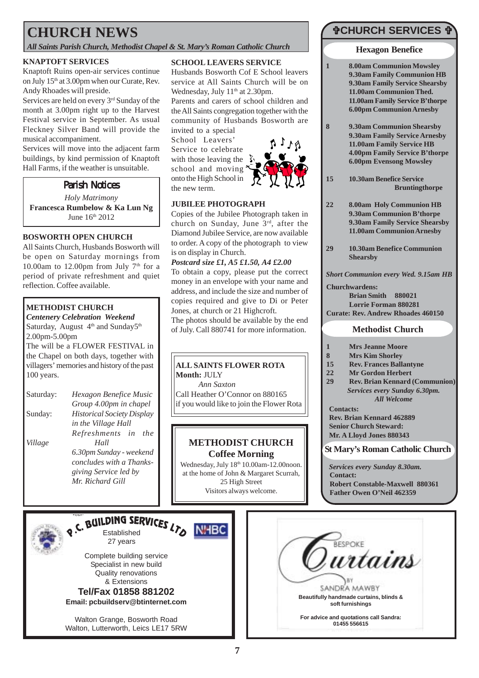# **CHURCH NEWS**

*All Saints Parish Church, Methodist Chapel & St. Mary's Roman Catholic Church*

### **KNAPTOFT SERVICES**

Knaptoft Ruins open-air services continue on July 15<sup>th</sup> at 3.00pm when our Curate, Rev. Andy Rhoades will preside.

Services are held on every 3rd Sunday of the month at 3.00pm right up to the Harvest Festival service in September. As usual Fleckney Silver Band will provide the musical accompaniment.

Services will move into the adjacent farm buildings, by kind permission of Knaptoft Hall Farms, if the weather is unsuitable.

# **Parish Notices**

*Holy Matrimony* **Francesca Rumbelow & Ka Lun Ng** June 16th 2012

### **BOSWORTH OPEN CHURCH**

All Saints Church, Husbands Bosworth will be open on Saturday mornings from 10.00am to 12.00pm from July  $7<sup>th</sup>$  for a period of private refreshment and quiet reflection. Coffee available.

### **METHODIST CHURCH**

*Centenery Celebration Weekend* Saturday, August 4<sup>th</sup> and Sunday5<sup>th</sup> 2.00pm-5.00pm The will be a FLOWER FESTIVAL in

the Chapel on both days, together with villagers' memories and history of the past 100 years.

| Saturday: | Hexagon Benefice Music            |
|-----------|-----------------------------------|
|           | Group 4.00pm in chapel            |
| Sunday:   | <b>Historical Society Display</b> |
|           | in the Village Hall               |
|           | Refreshments in<br><i>the</i>     |
| Village   | Hall                              |
|           | 6.30pm Sunday - weekend           |
|           | concludes with a Thanks-          |
|           | giving Service led by             |
|           | Mr. Richard Gill                  |

### **SCHOOL LEAVERS SERVICE**

Husbands Bosworth Cof E School leavers service at All Saints Church will be on Wednesday, July 11<sup>th</sup> at 2.30pm.

Parents and carers of school children and the All Saints congregation together with the community of Husbands Bosworth are invited to a special

School Leavers' Service to celebrate with those leaving the school and moving onto the High School in the new term.



### **JUBILEE PHOTOGRAPH**

Copies of the Jubilee Photograph taken in church on Sunday, June 3rd, after the Diamond Jubilee Service, are now available to order. A copy of the photograph to view is on display in Church.

### *Postcard size £1, A5 £1.50, A4 £2.00*

To obtain a copy, please put the correct money in an envelope with your name and address, and include the size and number of copies required and give to Di or Peter Jones, at church or 21 Highcroft.

The photos should be available by the end of July. Call 880741 for more information.

### **ALL SAINTS FLOWER ROTA Month:** JULY

*Ann Saxton*

**NHBC** 

Call Heather O'Connor on 880165 if you would like to join the Flower Rota

### **METHODIST CHURCH Coffee Morning**

Wednesday, July 18th 10.00am-12.00noon. at the home of John & Margaret Scurrah, 25 High Street Visitors always welcome.

# "**CHURCH SERVICES** "

### **Hexagon Benefice**

- **1 8.00am Communion Mowsley 9.30am Family Communion HB 9.30am Family Service Shearsby 11.00am Communion Thed. 11.00am Family Service B'thorpe 6.00pm Communion Arnesby**
- **8 9.30am Communion Shearsby 9.30am Family Service Arnesby 11.00am Family Service HB 4.00pm Family Service B'thorpe 6.00pm Evensong Mowsley**
- **15 10.30am Benefice Service Bruntingthorpe**
- **22 8.00am Holy Communion HB 9.30am Communion B'thorpe 9.30am Family Service Shearsby 11.00am Communion Arnesby**
- **29 10.30am Benefice Communion Shearsby**

*Short Communion every Wed. 9.15am HB*

**Churchwardens: Brian Smith 880021 Lorrie Forman 880281 Curate: Rev. Andrew Rhoades 460150**

### **Methodist Church**

- **1 Mrs Jeanne Moore**
- **8 Mrs Kim Shorley**
- **15 Rev. Frances Ballantyne**
- **22 Mr Gordon Herbert**
- **29 Rev. Brian Kennard (Communion)** *Services every Sunday 6.30pm. All Welcome*
- **Contacts:**

**Rev. Brian Kennard 462889 Senior Church Steward: Mr. A Lloyd Jones 880343**

### **St Mary's Roman Catholic Church**

*Services every Sunday 8.30am.* **Contact: Robert Constable-Maxwell 880361 Father Owen O'Neil 462359**



RUILDING SERVICES LTO 27 years

Complete building service Specialist in new build Quality renovations & Extensions **Tel/Fax 01858 881202**

**Email: pcbuildserv@btinternet.com**

Walton Grange, Bosworth Road Walton, Lutterworth, Leics LE17 5RW